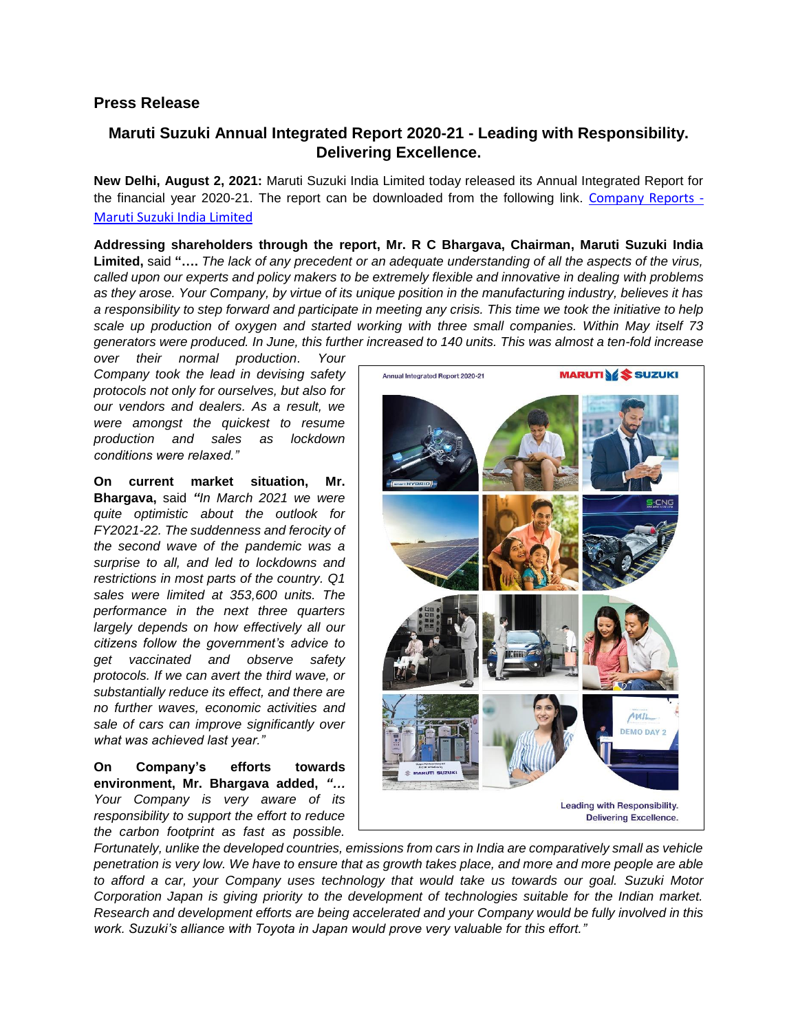## **Press Release**

## **Maruti Suzuki Annual Integrated Report 2020-21 - Leading with Responsibility. Delivering Excellence.**

**New Delhi, August 2, 2021:** Maruti Suzuki India Limited today released its Annual Integrated Report for the financial year 2020-21. The report can be downloaded from the following link. [Company Reports -](https://www.marutisuzuki.com/corporate/investors/company-reports) [Maruti Suzuki India Limited](https://www.marutisuzuki.com/corporate/investors/company-reports)

**Addressing shareholders through the report, Mr. R C Bhargava, Chairman, Maruti Suzuki India Limited,** said **"….** *The lack of any precedent or an adequate understanding of all the aspects of the virus, called upon our experts and policy makers to be extremely flexible and innovative in dealing with problems as they arose. Your Company, by virtue of its unique position in the manufacturing industry, believes it has a responsibility to step forward and participate in meeting any crisis. This time we took the initiative to help scale up production of oxygen and started working with three small companies. Within May itself 73 generators were produced. In June, this further increased to 140 units. This was almost a ten-fold increase* 

*over their normal production*. *Your Company took the lead in devising safety protocols not only for ourselves, but also for our vendors and dealers. As a result, we were amongst the quickest to resume production and sales as lockdown conditions were relaxed."*

**On current market situation, Mr. Bhargava,** said *"In March 2021 we were quite optimistic about the outlook for FY2021-22. The suddenness and ferocity of the second wave of the pandemic was a surprise to all, and led to lockdowns and restrictions in most parts of the country. Q1 sales were limited at 353,600 units. The performance in the next three quarters largely depends on how effectively all our citizens follow the government's advice to get vaccinated and observe safety protocols. If we can avert the third wave, or substantially reduce its effect, and there are no further waves, economic activities and sale of cars can improve significantly over what was achieved last year."*

## **On Company's efforts towards environment, Mr. Bhargava added,** *"… Your Company is very aware of its responsibility to support the effort to reduce the carbon footprint as fast as possible.*



*Fortunately, unlike the developed countries, emissions from cars in India are comparatively small as vehicle penetration is very low. We have to ensure that as growth takes place, and more and more people are able to afford a car, your Company uses technology that would take us towards our goal. Suzuki Motor Corporation Japan is giving priority to the development of technologies suitable for the Indian market. Research and development efforts are being accelerated and your Company would be fully involved in this work. Suzuki's alliance with Toyota in Japan would prove very valuable for this effort."*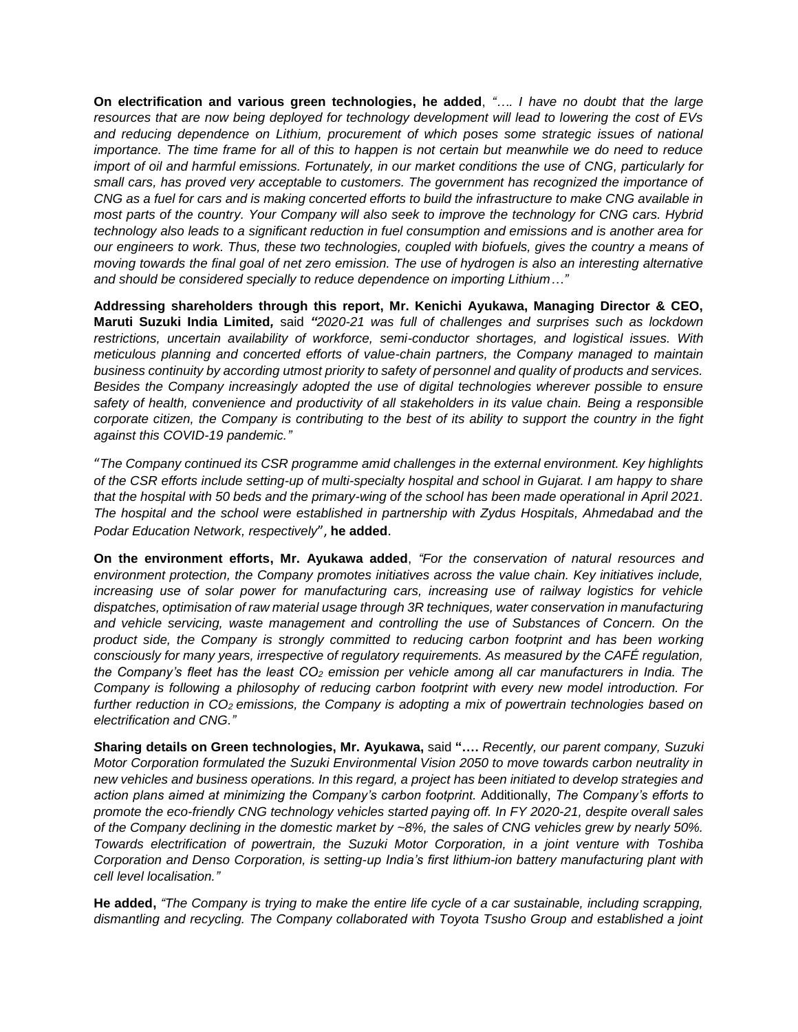**On electrification and various green technologies, he added**, *"…. I have no doubt that the large resources that are now being deployed for technology development will lead to lowering the cost of EVs*  and reducing dependence on Lithium, procurement of which poses some strategic issues of national *importance. The time frame for all of this to happen is not certain but meanwhile we do need to reduce import of oil and harmful emissions. Fortunately, in our market conditions the use of CNG, particularly for small cars, has proved very acceptable to customers. The government has recognized the importance of CNG as a fuel for cars and is making concerted efforts to build the infrastructure to make CNG available in most parts of the country. Your Company will also seek to improve the technology for CNG cars. Hybrid technology also leads to a significant reduction in fuel consumption and emissions and is another area for our engineers to work. Thus, these two technologies, coupled with biofuels, gives the country a means of moving towards the final goal of net zero emission. The use of hydrogen is also an interesting alternative and should be considered specially to reduce dependence on importing Lithium…"*

**Addressing shareholders through this report, Mr. Kenichi Ayukawa, Managing Director & CEO, Maruti Suzuki India Limited***,* said *"2020-21 was full of challenges and surprises such as lockdown restrictions, uncertain availability of workforce, semi-conductor shortages, and logistical issues. With meticulous planning and concerted efforts of value-chain partners, the Company managed to maintain business continuity by according utmost priority to safety of personnel and quality of products and services. Besides the Company increasingly adopted the use of digital technologies wherever possible to ensure safety of health, convenience and productivity of all stakeholders in its value chain. Being a responsible corporate citizen, the Company is contributing to the best of its ability to support the country in the fight against this COVID-19 pandemic."*

"*The Company continued its CSR programme amid challenges in the external environment. Key highlights of the CSR efforts include setting-up of multi-specialty hospital and school in Gujarat. I am happy to share that the hospital with 50 beds and the primary-wing of the school has been made operational in April 2021. The hospital and the school were established in partnership with Zydus Hospitals, Ahmedabad and the Podar Education Network, respectively*", **he added**.

**On the environment efforts, Mr. Ayukawa added**, *"For the conservation of natural resources and environment protection, the Company promotes initiatives across the value chain. Key initiatives include, increasing use of solar power for manufacturing cars, increasing use of railway logistics for vehicle dispatches, optimisation of raw material usage through 3R techniques, water conservation in manufacturing and vehicle servicing, waste management and controlling the use of Substances of Concern. On the product side, the Company is strongly committed to reducing carbon footprint and has been working consciously for many years, irrespective of regulatory requirements. As measured by the CAFÉ regulation, the Company's fleet has the least CO<sup>2</sup> emission per vehicle among all car manufacturers in India. The Company is following a philosophy of reducing carbon footprint with every new model introduction. For further reduction in CO2 emissions, the Company is adopting a mix of powertrain technologies based on electrification and CNG."*

*S***haring details on Green technologies, Mr. Ayukawa,** said **"….** *Recently, our parent company, Suzuki Motor Corporation formulated the Suzuki Environmental Vision 2050 to move towards carbon neutrality in new vehicles and business operations. In this regard, a project has been initiated to develop strategies and action plans aimed at minimizing the Company's carbon footprint.* Additionally, *The Company's efforts to promote the eco-friendly CNG technology vehicles started paying off. In FY 2020-21, despite overall sales of the Company declining in the domestic market by ~8%, the sales of CNG vehicles grew by nearly 50%. Towards electrification of powertrain, the Suzuki Motor Corporation, in a joint venture with Toshiba Corporation and Denso Corporation, is setting-up India's first lithium-ion battery manufacturing plant with cell level localisation."*

**He added,** *"The Company is trying to make the entire life cycle of a car sustainable, including scrapping, dismantling and recycling. The Company collaborated with Toyota Tsusho Group and established a joint*